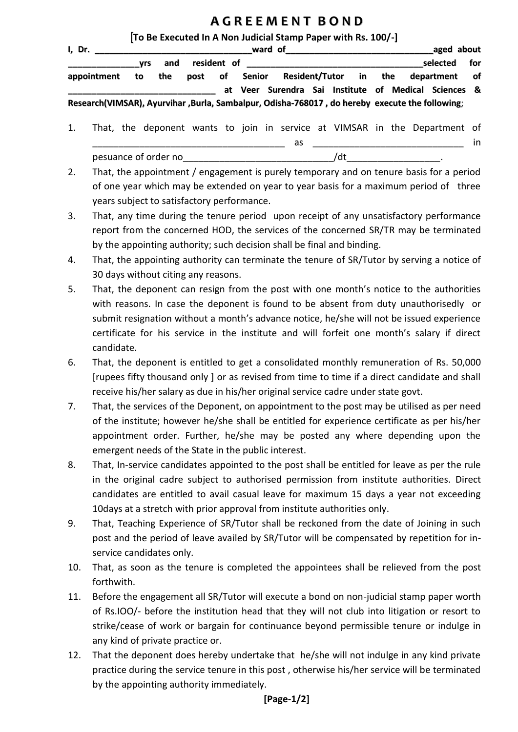## **A G R E E M E N T B O N D**

## [**To Be Executed In A Non Judicial Stamp Paper with Rs. 100/-]**

| I, Dr.                                                                                         | ward of<br>the control of the control of the control of the control of the control of the control of |     |  |  |                | aged about                                           |  |  |                                  |     |
|------------------------------------------------------------------------------------------------|------------------------------------------------------------------------------------------------------|-----|--|--|----------------|------------------------------------------------------|--|--|----------------------------------|-----|
|                                                                                                | vrs                                                                                                  | and |  |  |                | resident of ________________________                 |  |  | selected                         | for |
| appointment                                                                                    | to the                                                                                               |     |  |  | post of Senior |                                                      |  |  | Resident/Tutor in the department | of  |
|                                                                                                |                                                                                                      |     |  |  |                | at Veer Surendra Sai Institute of Medical Sciences & |  |  |                                  |     |
| Research(VIMSAR), Ayurvihar ,Burla, Sambalpur, Odisha-768017, do hereby execute the following; |                                                                                                      |     |  |  |                |                                                      |  |  |                                  |     |

- 1. That, the deponent wants to join in service at VIMSAR in the Department of \_\_\_\_\_\_\_\_\_\_\_\_\_\_\_\_\_\_\_\_\_\_\_\_\_\_\_\_\_\_\_\_\_\_\_\_\_ as \_\_\_\_\_\_\_\_\_\_\_\_\_\_\_\_\_\_\_\_\_\_\_\_\_\_\_\_\_ in pesuance of order no example and the set of order no set of  $\lambda$  dt  $\lambda$
- 2. That, the appointment / engagement is purely temporary and on tenure basis for a period of one year which may be extended on year to year basis for a maximum period of three years subject to satisfactory performance.
- 3. That, any time during the tenure period upon receipt of any unsatisfactory performance report from the concerned HOD, the services of the concerned SR/TR may be terminated by the appointing authority; such decision shall be final and binding.
- 4. That, the appointing authority can terminate the tenure of SR/Tutor by serving a notice of 30 days without citing any reasons.
- 5. That, the deponent can resign from the post with one month's notice to the authorities with reasons. In case the deponent is found to be absent from duty unauthorisedly or submit resignation without a month's advance notice, he/she will not be issued experience certificate for his service in the institute and will forfeit one month's salary if direct candidate.
- 6. That, the deponent is entitled to get a consolidated monthly remuneration of Rs. 50,000 [rupees fifty thousand only ] or as revised from time to time if a direct candidate and shall receive his/her salary as due in his/her original service cadre under state govt.
- 7. That, the services of the Deponent, on appointment to the post may be utilised as per need of the institute; however he/she shall be entitled for experience certificate as per his/her appointment order. Further, he/she may be posted any where depending upon the emergent needs of the State in the public interest.
- 8. That, In-service candidates appointed to the post shall be entitled for leave as per the rule in the original cadre subject to authorised permission from institute authorities. Direct candidates are entitled to avail casual leave for maximum 15 days a year not exceeding 10days at a stretch with prior approval from institute authorities only.
- 9. That, Teaching Experience of SR/Tutor shall be reckoned from the date of Joining in such post and the period of leave availed by SR/Tutor will be compensated by repetition for inservice candidates only.
- 10. That, as soon as the tenure is completed the appointees shall be relieved from the post forthwith.
- 11. Before the engagement all SR/Tutor will execute a bond on non-judicial stamp paper worth of Rs.IOO/- before the institution head that they will not club into litigation or resort to strike/cease of work or bargain for continuance beyond permissible tenure or indulge in any kind of private practice or.
- 12. That the deponent does hereby undertake that he/she will not indulge in any kind private practice during the service tenure in this post , otherwise his/her service will be terminated by the appointing authority immediately.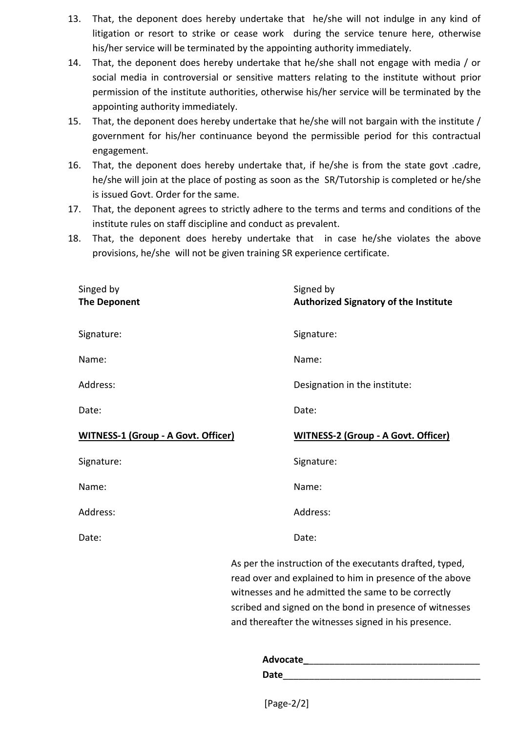- 13. That, the deponent does hereby undertake that he/she will not indulge in any kind of litigation or resort to strike or cease work during the service tenure here, otherwise his/her service will be terminated by the appointing authority immediately.
- 14. That, the deponent does hereby undertake that he/she shall not engage with media / or social media in controversial or sensitive matters relating to the institute without prior permission of the institute authorities, otherwise his/her service will be terminated by the appointing authority immediately.
- 15. That, the deponent does hereby undertake that he/she will not bargain with the institute / government for his/her continuance beyond the permissible period for this contractual engagement.
- 16. That, the deponent does hereby undertake that, if he/she is from the state govt .cadre, he/she will join at the place of posting as soon as the SR/Tutorship is completed or he/she is issued Govt. Order for the same.
- 17. That, the deponent agrees to strictly adhere to the terms and terms and conditions of the institute rules on staff discipline and conduct as prevalent.
- 18. That, the deponent does hereby undertake that in case he/she violates the above provisions, he/she will not be given training SR experience certificate.

| Singed by<br><b>The Deponent</b>           | Signed by<br><b>Authorized Signatory of the Institute</b> |
|--------------------------------------------|-----------------------------------------------------------|
| Signature:                                 | Signature:                                                |
| Name:                                      | Name:                                                     |
| Address:                                   | Designation in the institute:                             |
| Date:                                      | Date:                                                     |
| <b>WITNESS-1 (Group - A Govt. Officer)</b> | <b>WITNESS-2 (Group - A Govt. Officer)</b>                |
|                                            |                                                           |
| Signature:                                 | Signature:                                                |
| Name:                                      | Name:                                                     |
| Address:                                   | Address:                                                  |
| Date:                                      | Date:                                                     |

read over and explained to him in presence of the above witnesses and he admitted the same to be correctly scribed and signed on the bond in presence of witnesses and thereafter the witnesses signed in his presence.

| Advocate    |  |  |
|-------------|--|--|
| <b>Date</b> |  |  |

[Page-2/2]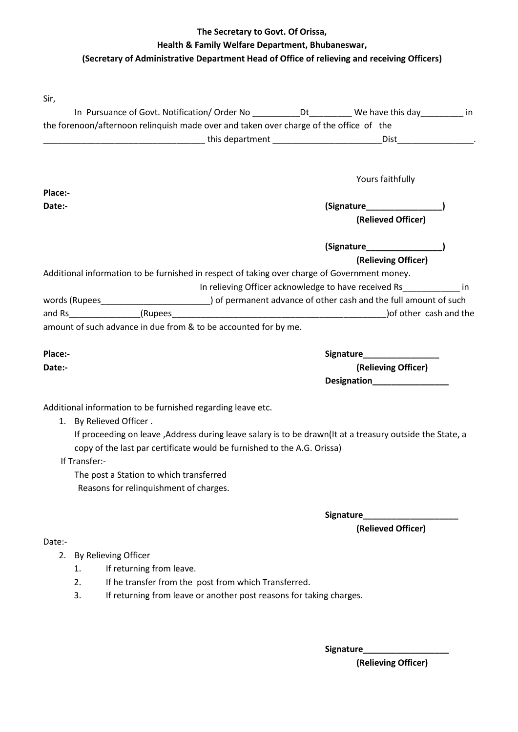## **The Secretary to Govt. Of Orissa, Health & Family Welfare Department, Bhubaneswar, (Secretary of Administrative Department Head of Office of relieving and receiving Officers)**

| Sir,                                                                                                                                                                                 |                    |                                                                |  |  |  |
|--------------------------------------------------------------------------------------------------------------------------------------------------------------------------------------|--------------------|----------------------------------------------------------------|--|--|--|
| In Pursuance of Govt. Notification/ Order No ____________Dt___________ We have this day __________ in                                                                                |                    |                                                                |  |  |  |
| the forenoon/afternoon relinquish made over and taken over charge of the office of the                                                                                               |                    |                                                                |  |  |  |
|                                                                                                                                                                                      |                    |                                                                |  |  |  |
|                                                                                                                                                                                      |                    |                                                                |  |  |  |
|                                                                                                                                                                                      |                    | Yours faithfully                                               |  |  |  |
| Place:-                                                                                                                                                                              |                    |                                                                |  |  |  |
| Date:-                                                                                                                                                                               |                    |                                                                |  |  |  |
|                                                                                                                                                                                      |                    | (Relieved Officer)                                             |  |  |  |
|                                                                                                                                                                                      |                    | (Signature________________                                     |  |  |  |
|                                                                                                                                                                                      |                    | (Relieving Officer)                                            |  |  |  |
| Additional information to be furnished in respect of taking over charge of Government money.                                                                                         |                    |                                                                |  |  |  |
|                                                                                                                                                                                      |                    | In relieving Officer acknowledge to have received Rs [11] [11] |  |  |  |
| words (Rupees__________________________________) of permanent advance of other cash and the full amount of such                                                                      |                    |                                                                |  |  |  |
|                                                                                                                                                                                      |                    |                                                                |  |  |  |
| amount of such advance in due from & to be accounted for by me.                                                                                                                      |                    |                                                                |  |  |  |
| Place:-                                                                                                                                                                              |                    | Signature____________________                                  |  |  |  |
| Date:-                                                                                                                                                                               |                    | (Relieving Officer)                                            |  |  |  |
|                                                                                                                                                                                      | <b>Designation</b> |                                                                |  |  |  |
|                                                                                                                                                                                      |                    |                                                                |  |  |  |
| Additional information to be furnished regarding leave etc.                                                                                                                          |                    |                                                                |  |  |  |
| 1. By Relieved Officer.                                                                                                                                                              |                    |                                                                |  |  |  |
| If proceeding on leave , Address during leave salary is to be drawn(It at a treasury outside the State, a<br>copy of the last par certificate would be furnished to the A.G. Orissa) |                    |                                                                |  |  |  |
| If Transfer:-                                                                                                                                                                        |                    |                                                                |  |  |  |
| The post a Station to which transferred                                                                                                                                              |                    |                                                                |  |  |  |
| Reasons for relinquishment of charges.                                                                                                                                               |                    |                                                                |  |  |  |
|                                                                                                                                                                                      |                    |                                                                |  |  |  |
|                                                                                                                                                                                      |                    | <b>Signature Signature</b>                                     |  |  |  |
|                                                                                                                                                                                      |                    | (Relieved Officer)                                             |  |  |  |

## Date:-

- 2. By Relieving Officer
	- 1. If returning from leave.
	- 2. If he transfer from the post from which Transferred.
	- 3. If returning from leave or another post reasons for taking charges.

**Signature\_\_\_\_\_\_\_\_\_\_\_\_\_\_\_\_\_\_**

**(Relieving Officer)**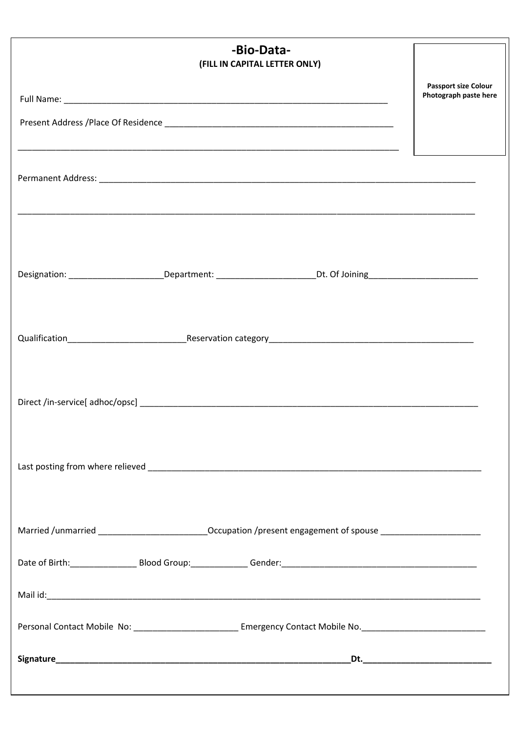| -Bio-Data-<br>(FILL IN CAPITAL LETTER ONLY)                                                                          |                                                      |
|----------------------------------------------------------------------------------------------------------------------|------------------------------------------------------|
|                                                                                                                      | <b>Passport size Colour</b><br>Photograph paste here |
|                                                                                                                      |                                                      |
|                                                                                                                      |                                                      |
|                                                                                                                      |                                                      |
|                                                                                                                      |                                                      |
|                                                                                                                      |                                                      |
|                                                                                                                      |                                                      |
| Designation: __________________________Department: ___________________________Dt. Of Joining________________________ |                                                      |
|                                                                                                                      |                                                      |
|                                                                                                                      |                                                      |
|                                                                                                                      |                                                      |
|                                                                                                                      |                                                      |
|                                                                                                                      |                                                      |
|                                                                                                                      |                                                      |
|                                                                                                                      |                                                      |
|                                                                                                                      |                                                      |
| Married /unmarried ____________________________Occupation /present engagement of spouse ______________________       |                                                      |
|                                                                                                                      |                                                      |
|                                                                                                                      |                                                      |
|                                                                                                                      |                                                      |
|                                                                                                                      |                                                      |
|                                                                                                                      |                                                      |